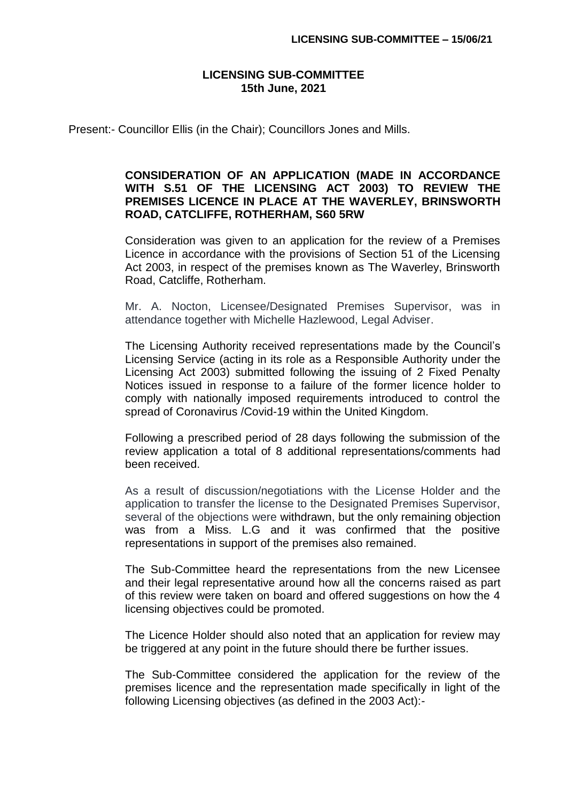## **LICENSING SUB-COMMITTEE 15th June, 2021**

Present:- Councillor Ellis (in the Chair); Councillors Jones and Mills.

## **CONSIDERATION OF AN APPLICATION (MADE IN ACCORDANCE WITH S.51 OF THE LICENSING ACT 2003) TO REVIEW THE PREMISES LICENCE IN PLACE AT THE WAVERLEY, BRINSWORTH ROAD, CATCLIFFE, ROTHERHAM, S60 5RW**

Consideration was given to an application for the review of a Premises Licence in accordance with the provisions of Section 51 of the Licensing Act 2003, in respect of the premises known as The Waverley, Brinsworth Road, Catcliffe, Rotherham.

Mr. A. Nocton, Licensee/Designated Premises Supervisor, was in attendance together with Michelle Hazlewood, Legal Adviser.

The Licensing Authority received representations made by the Council's Licensing Service (acting in its role as a Responsible Authority under the Licensing Act 2003) submitted following the issuing of 2 Fixed Penalty Notices issued in response to a failure of the former licence holder to comply with nationally imposed requirements introduced to control the spread of Coronavirus /Covid-19 within the United Kingdom.

Following a prescribed period of 28 days following the submission of the review application a total of 8 additional representations/comments had been received.

As a result of discussion/negotiations with the License Holder and the application to transfer the license to the Designated Premises Supervisor, several of the objections were withdrawn, but the only remaining objection was from a Miss. L.G and it was confirmed that the positive representations in support of the premises also remained.

The Sub-Committee heard the representations from the new Licensee and their legal representative around how all the concerns raised as part of this review were taken on board and offered suggestions on how the 4 licensing objectives could be promoted.

The Licence Holder should also noted that an application for review may be triggered at any point in the future should there be further issues.

The Sub-Committee considered the application for the review of the premises licence and the representation made specifically in light of the following Licensing objectives (as defined in the 2003 Act):-